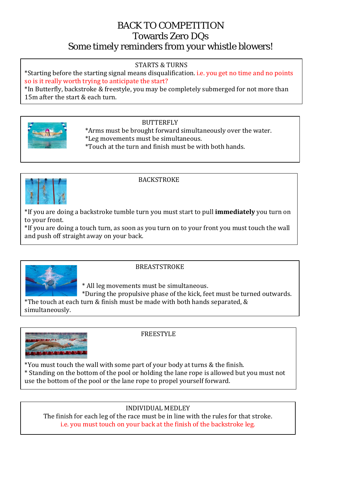# BACK TO COMPETITION Towards Zero DQs Some timely reminders from your whistle blowers!

#### STARTS & TURNS

\*Starting before the starting signal means disqualification. i.e. you get no time and no points so is it really worth trying to anticipate the start?

\*In Butterfly, backstroke & freestyle, you may be completely submerged for not more than 15m after the start & each turn.

### **BUTTERFLY**

 \*Arms must be brought forward simultaneously over the water. \*Leg movements must be simultaneous. \*Touch at the turn and finish must be with both hands.



### **BACKSTROKE**

\*If you are doing a backstroke tumble turn you must start to pull **immediately** you turn on to your front.

\*If you are doing a touch turn, as soon as you turn on to your front you must touch the wall and push off straight away on your back.



#### BREASTSTROKE

\* All leg movements must be simultaneous.

 \*During the propulsive phase of the kick, feet must be turned outwards. \*The touch at each turn & finish must be made with both hands separated, &

simultaneously.



FREESTYLE

\*You must touch the wall with some part of your body at turns & the finish.

\* Standing on the bottom of the pool or holding the lane rope is allowed but you must not use the bottom of the pool or the lane rope to propel yourself forward.

### INDIVIDUAL MEDLEY

The finish for each leg of the race must be in line with the rules for that stroke. i.e. you must touch on your back at the finish of the backstroke leg.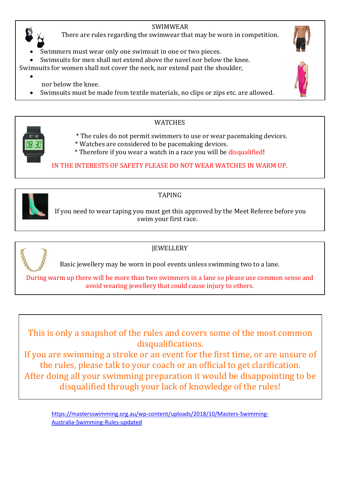# SWIMWEAR

There are rules regarding the swimwear that may be worn in competition.

Swimmers must wear only one swimsuit in one or two pieces.

Swimsuits for men shall not extend above the navel nor below the knee.

Swimsuits for women shall not cover the neck, nor extend past the shoulder,

- nor below the knee.
- Swimsuits must be made from textile materials, no clips or zips etc. are allowed.



•

## WATCHES

- \* The rules do not permit swimmers to use or wear pacemaking devices.
- \* Watches are considered to be pacemaking devices.
- \* Therefore if you wear a watch in a race you will be disqualified!

IN THE INTERESTS OF SAFETY PLEASE DO NOT WEAR WATCHES IN WARM UP.



# TAPING

 If you need to wear taping you must get this approved by the Meet Referee before you swim your first race.



# JEWELLERY

Basic jewellery may be worn in pool events unless swimming two to a lane.

During warm up there will be more than two swimmers in a lane so please use common sense and avoid wearing jewellery that could cause injury to others.

This is only a snapshot of the rules and covers some of the most common disqualifications.

If you are swimming a stroke or an event for the first time, or are unsure of the rules, please talk to your coach or an official to get clarification. After doing all your swimming preparation it would be disappointing to be disqualified through your lack of knowledge of the rules!